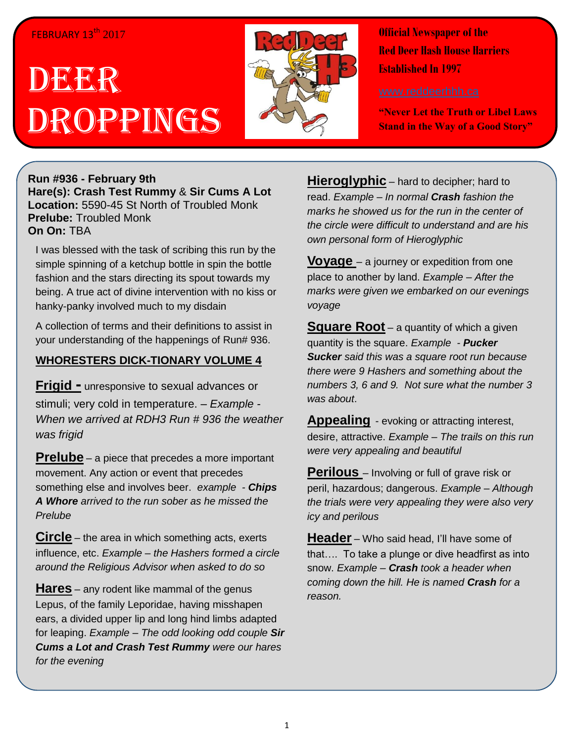## FEBRUARY 13<sup>th</sup> 2017

# D**EER** Droppings



**Official Newspaper of the Red Deer Hash House Harriers Established In 1997** 

**"Never Let the Truth or Libel Laws Stand in the Way of a Good Story"**

**Run #936 - February 9th Hare(s): Crash Test Rummy** & **Sir Cums A Lot Location:** 5590-45 St North of Troubled Monk **Prelube:** Troubled Monk **On On:** TBA

I was blessed with the task of scribing this run by the simple spinning of a ketchup bottle in spin the bottle fashion and the stars directing its spout towards my being. A true act of divine intervention with no kiss or hanky-panky involved much to my disdain

A collection of terms and their definitions to assist in your understanding of the happenings of Run# 936.

## **WHORESTERS DICK-TIONARY VOLUME 4**

**Frigid -** unresponsive to sexual advances or stimuli; very cold in temperature. *– Example - When we arrived at RDH3 Run # 936 the weather was frigid*

**Prelube** – a piece that precedes a more important movement. Any action or event that precedes something else and involves beer. *example - Chips A Whore arrived to the run sober as he missed the Prelube*

**Circle** – the area in which something acts, exerts influence, etc. *Example – the Hashers formed a circle around the Religious Advisor when asked to do so*

**Hares** – any rodent like mammal of the genus Lepus, of the family Leporidae, having misshapen ears, a divided upper lip and long hind limbs adapted for leaping. *Example – The odd looking odd couple Sir Cums a Lot and Crash Test Rummy were our hares for the evening*

**Hieroglyphic** – hard to decipher; hard to read. *Example – In normal Crash fashion the marks he showed us for the run in the center of the circle were difficult to understand and are his own personal form of Hieroglyphic* 

**Voyage** – a journey or expedition from one place to another by land. *Example – After the marks were given we embarked on our evenings voyage*

**Square Root** – a quantity of which a given quantity is the square. *Example - Pucker Sucker said this was a square root run because there were 9 Hashers and something about the numbers 3, 6 and 9. Not sure what the number 3 was about*.

**Appealing** - evoking or attracting interest, desire, attractive. *Example – The trails on this run were very appealing and beautiful*

**Perilous** – Involving or full of grave risk or peril, hazardous; dangerous. *Example – Although the trials were very appealing they were also very icy and perilous* 

**Header** – Who said head, I'll have some of that…. To take a plunge or dive headfirst as into snow. *Example – Crash took a header when coming down the hill. He is named Crash for a reason.*